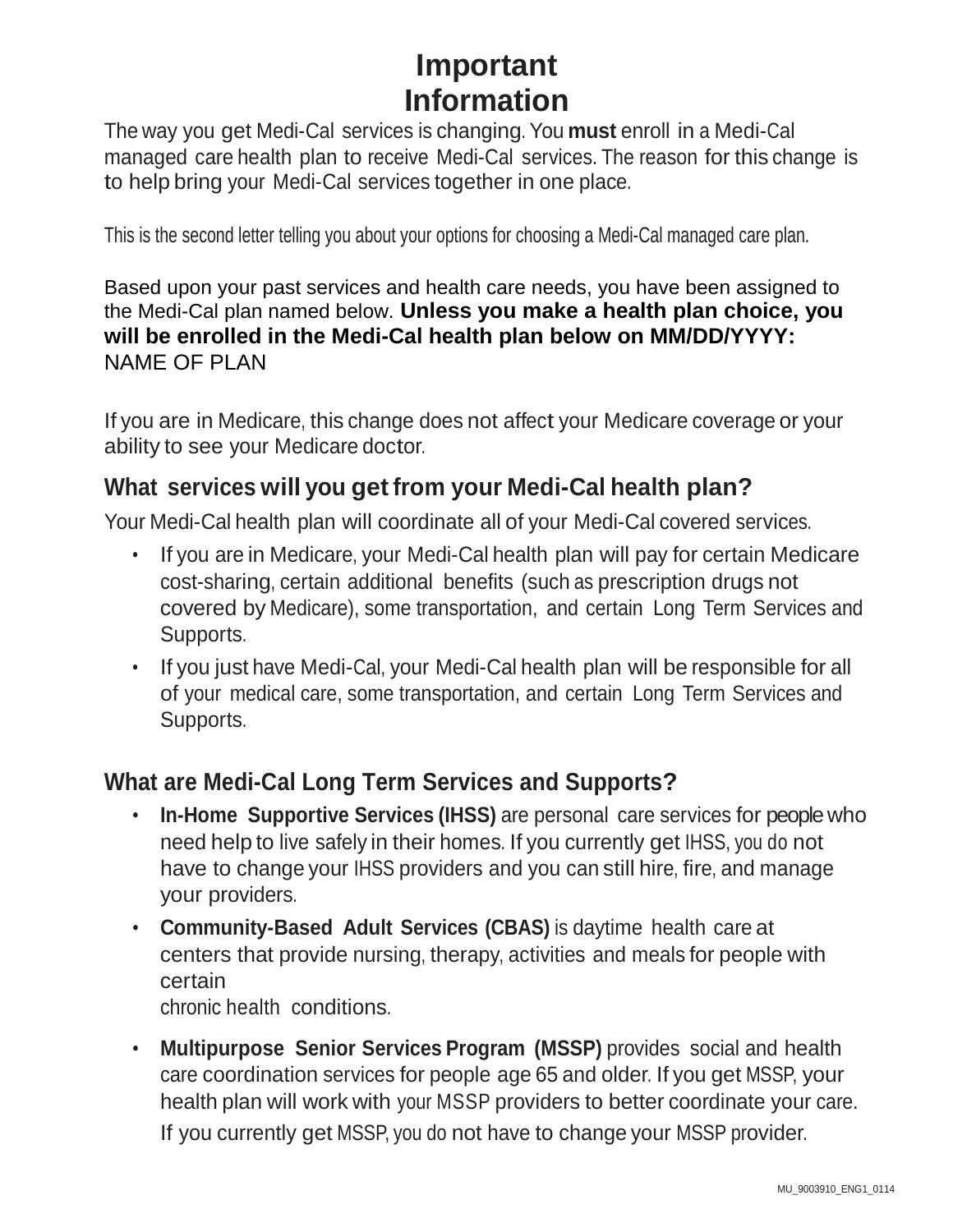# **Important Information**

The way you get Medi-Cal services is changing. You **must** enroll in a Medi-Cal managed care health plan to receive Medi-Cal services. The reason for this change is to help bring your Medi-Cal services together in one place.

This is the second letter telling you about your options for choosing a Medi-Cal managed care plan.

Based upon your past services and health care needs, you have been assigned to the Medi-Cal plan named below. **Unless you make a health plan choice, you will be enrolled in the Medi-Cal health plan below on MM/DD/YYYY:** NAME OF PLAN

If you are in Medicare, this change does not affect your Medicare coverage or your ability to see your Medicare doctor.

#### **What services will you get from your Medi-Cal health plan?**

Your Medi-Cal health plan will coordinate all of your Medi-Cal covered services.

- If you are in Medicare, your Medi-Cal health plan will pay for certain Medicare cost-sharing, certain additional benefits (such as prescription drugs not covered by Medicare), some transportation, and certain Long Term Services and Supports.
- If you just have Medi-Cal, your Medi-Cal health plan will be responsible for all of your medical care, some transportation, and certain Long Term Services and Supports.

#### **What are Medi-Cal Long Term Services and Supports?**

- **In-Home Supportive Services (IHSS)** are personal care services for peoplewho need help to live safely in their homes. If you currently get IHSS, you do not have to change your IHSS providers and you can still hire, fire, and manage your providers.
- **Community-Based Adult Services (CBAS)** is daytime health care at centers that provide nursing, therapy, activities and meals for people with certain

? chronic health conditions.

• **Multipurpose Senior Services Program (MSSP)** provides social and health care coordination services for people age 65 and older. If you get MSSP, your health plan will work with your MSSP providers to better coordinate your care.

If you currently get MSSP, you do not have to change your MSSP provider.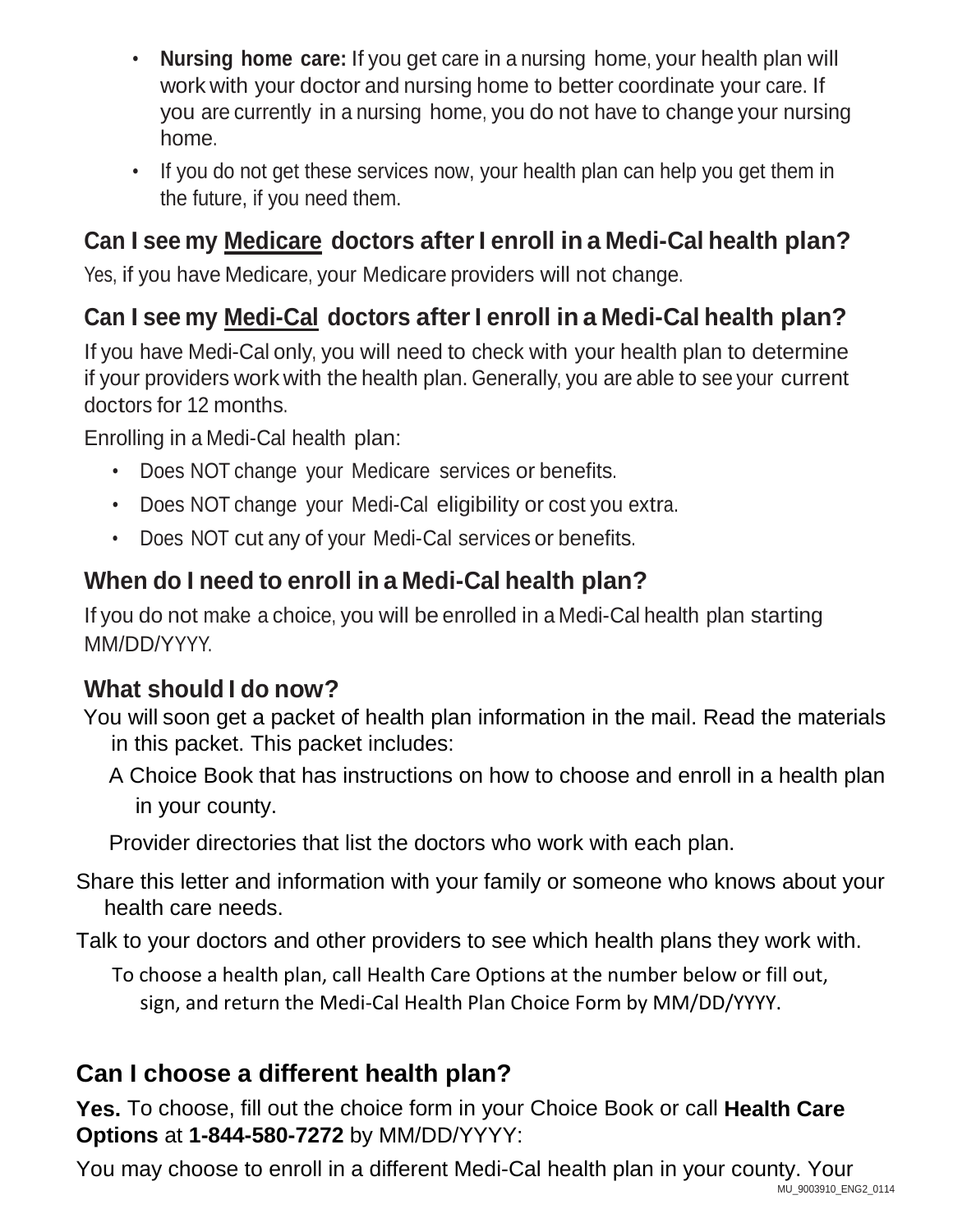- **Nursing home care:** If you get care in a nursing home, your health plan will work with your doctor and nursing home to better coordinate your care. If you are currently in a nursing home, you do not have to change your nursing home.
- If you do not get these services now, your health plan can help you get them in the future, if you need them.

### **Can I see my Medicare doctors afterI enroll in a Medi-Cal health plan?**

Yes, if you have Medicare, your Medicare providers will not change.

### **Can I see my Medi-Cal doctors afterI enroll in a Medi-Cal health plan?**

If you have Medi-Cal only, you will need to check with your health plan to determine if your providers work with the health plan. Generally, you are able to see your current doctors for 12 months.

Enrolling in a Medi-Cal health plan:

- Does NOT change your Medicare services or benefits.
- Does NOT change your Medi-Cal eligibility or cost you extra.
- Does NOT cut any of your Medi-Cal services or benefits.

### **When do I need to enroll in a Medi-Cal health plan?**

If you do not make a choice, you will be enrolled in a Medi-Cal health plan starting MM/DD/YYYY.

#### **What should I do now?**

You will soon get a packet of health plan information in the mail. Read the materials in this packet. This packet includes:

A Choice Book that has instructions on how to choose and enroll in a health plan in your county.

Provider directories that list the doctors who work with each plan.

Share this letter and information with your family or someone who knows about your health care needs.

Talk to your doctors and other providers to see which health plans they work with.

To choose a health plan, call Health Care Options at the number below or fill out, sign, and return the Medi-Cal Health Plan Choice Form by MM/DD/YYYY.

## **Can I choose a different health plan?**

**Yes.** To choose, fill out the choice form in your Choice Book or call **Health Care Options** at **1-844-580-7272** by MM/DD/YYYY:

You may choose to enroll in a different Medi-Cal health plan in your county. Your